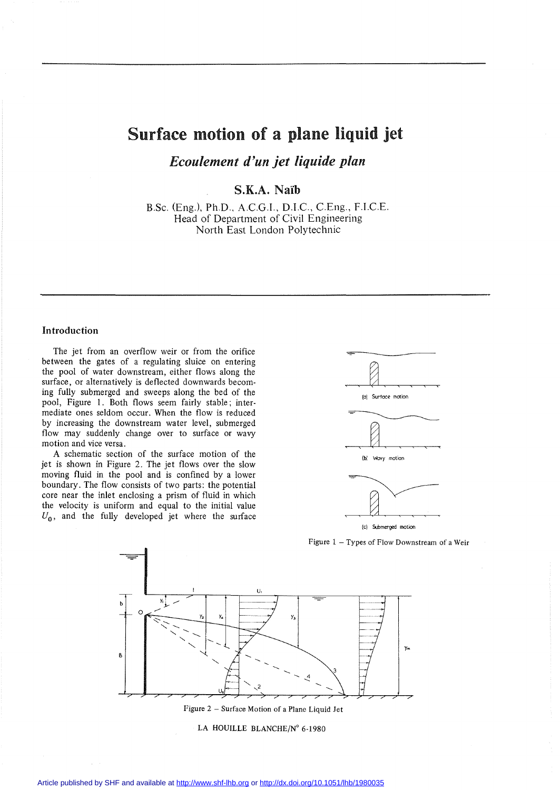# Surface motion of a plane liquid jet

*Ecoulement d'un jet liquide plan*

**S.K.A.** Naïb

B.Sc. (Eng.), Ph.D., A.CG.I., D.I.C, CEng., F.I.CE. Head of Department of Civil Engineering North East London Polytechnic

# **Introduction**

The jet from an overflow weir or from the orifice between the gates of a regulating sluice on entering the pool of water downstream, either flows along the surface, or alternatively is deflected downwards becoming fully submerged and sweeps along the bed of the pool, Figure 1. Both flows seem fairly stable; intermediate ones seldom occur. When the flow is reduced by increasing the downstream water level, submerged flow may suddenly change over to surface or wavy motion and vice versa.

A schematic section of the surface motion of the jet is shown in Figure 2. The jet flows over the slow moving fluid in the pool and is confined by a lower boundary. The flow consists of two parts: the potential core near the inlet enclosing a prism of fluid in which the velocity is uniform and equal to the initial value  $U_0$ , and the fully developed jet where the surface



Figure  $1 -$  Types of Flow Downstream of a Weir



Figure 2 - Surface Motion of a Plane Liquid Jet

LA HOUILLE BLANCHE/N° 6-1980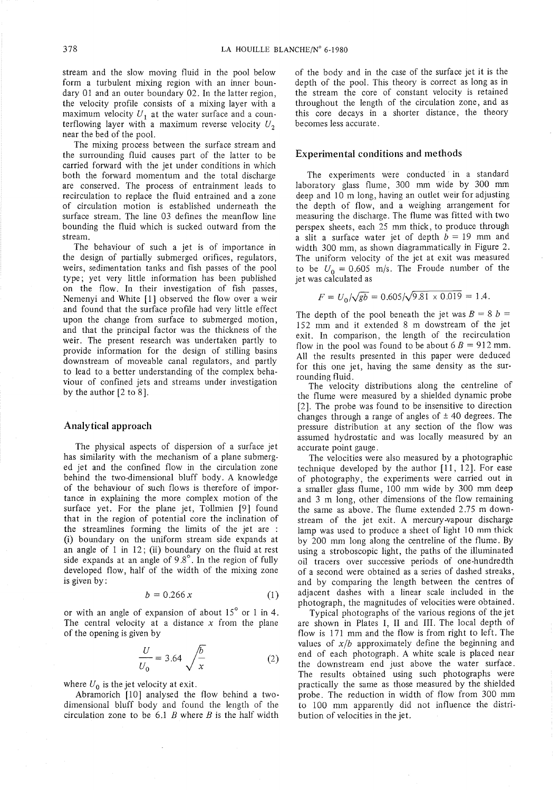stream and the slow moving fluid in the pool below form a turbulent mixing region with an inner boundary 01 and an outer boundary 02. In the latter region, the velocity profile consists of a mixing layer with a maximum velocity  $U_1$  at the water surface and a counterflowing layer with a maximum reverse velocity  $U_2$ near the bed of the pool.

The mixing process between the surface stream and the surrounding fluid causes part of the latter to be carried forward with the jet under conditions in which both the forward momentum and the total discharge are conserved. The process of entrainment leads to recirculation to replace the fluid entrained and a zone of circulation motion is established underneath the surface stream. The line 03 defines the meanflow line bounding the fluid which is sucked outward from the stream.

The behaviour of such a jet is of importance in the design of partially submerged orifices, regulators, weirs, sedimentation tanks and fish passes of the pool type; yet very little information has been published on the flow. In their investigation of fish passes, Nemenyi and White [1] observed the flow over a weir and found that the surface profile had very little effect upon the change from surface to submerged motion, and that the principal factor was the thickness of the weir. The present research was undertaken partly to provide information for the design of stilling basins downstream of moveable canal regulators, and partly to lead to a better understanding of the complex behaviour of confined jets and streams under investigation by the author [2 to 8].

#### Analytical approach

The physical aspects of dispersion of a surface jet has similarity with the mechanism of a plane submerged jet and the confined flow in the circulation zone behind the two-dimensional bluff body. A knowledge of the behaviour of such flows is therefore of importance in explaining the more complex motion of the surface yet. For the plane jet, Tollmien [9] found that in the region of potential core the inclination of the streamlines forrning the limits of the jet are : (i) boundary on the uniform stream side expands at an angle of 1 in 12; (ii) boundary on the fluid at rest side expands at an angle of *9.8°.* In the region of fully developed flow, half of the width of the mixing zone is given by:

$$
b = 0.266 x \tag{1}
$$

or with an angle of expansion of about *15°* or 1 in 4. The central velocity at a distance *x* from the plane of the opening is given by

$$
\frac{U}{U_0} = 3.64 \sqrt{\frac{b}{x}}
$$
 (2)

where  $U_0$  is the jet velocity at exit.

Abramorich [10] analysed the flow behind a twodimensional bluff body and found the length of the circulation zone to be  $6.1$  B where B is the half width of the body and in the case of the surface jet it is the depth of the pool. This theory is correct as long as in the stream the core of constant velocity is retained throughout the length of the circulation zone, and as this core decays in a shorter distance, the theory becomes less accurate.

# Experimental conditions and methods

The experiments were conducted in a standard laboratory glass flume, 300 mm wide by 300 mm deep and 10 m long, having an outlet weir for adjusting the depth of flow, and a weighing arrangement for measuring the discharge. The flume was fitted with two perspex sheets, each 25 mm thick, to produce through a slit a surface water jet of depth  $b = 19$  mm and width 300 mm, as shown diagrammatically in Figure 2. The uniform velocity of the jet at exit was measured to be  $U_0 = 0.605$  m/s. The Froude number of the jet was calculated as

$$
F = U_0 / \sqrt{gb} = 0.605 / \sqrt{9.81 \times 0.019} = 1.4.
$$

The depth of the pool beneath the jet was  $B = 8$  *b* = 152 mm and it extended 8 m dowstream of the jet exit. In comparison, the length of the recirculation flow in the pool was found to be about  $6B = 912$  mm. Ail the results presented in this paper were deduced for this one jet, having the same density as the surrounding fluid.

The velocity distributions along the centreline of the flume were measured by a shielded dynamic probe [2]. The probe was found to be insensitive to direction changes through a range of angles of  $\pm$  40 degrees. The pressure distribution at any section of the flow was assumed hydrostatic and was locally measured by an accurate point gauge.

The velocities were also measured by a photographic technique developed by the author [11,12]. For ease of photography, the experiments were carried out in a smaller glass flume, 100 mm wide by 300 mm deep and 3 m long, other dimensions of the flow remaining the same as above. The flume extended 2.75 m downstream of the jet exit. A mercury-vapour discharge lamp was used to produce a sheet of light 10 mm thick by 200 mm long along the centreline of the flume. By using a stroboscopic light, the paths of the illuminated oil tracers over successive periods of one-hundredth of a second were obtained as a series of dashed streaks, and by comparing the length between the centres of adjacent dashes with a linear scale included in the photograph, the magnitudes of velocities were obtained.

Typical photographs of the various regions of the jet are shown in Plates l, II and III. The local depth of flow is 171 mm and the flow is from right to left. The values of  $x/b$  approximately define the beginning and end of each photograph. A white scale is placed near the downstream end just above the water surface. The results obtained using such photographs were practically the same as those measured by the shielded probe. The reduction in width of flow from 300 mm to 100 mm apparently did not influence the distribution of ve10cities in the jet.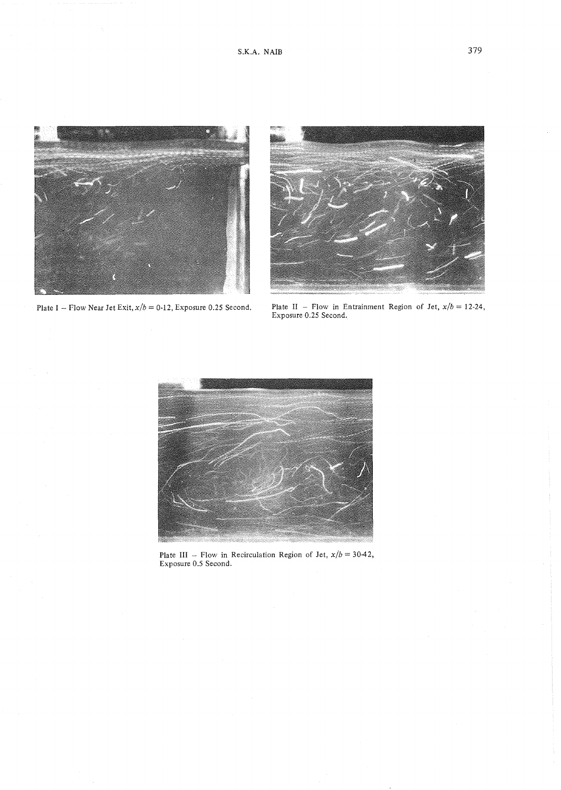

Plate I - Flow Near Jet Exit,  $x/b = 0.12$ , Exposure 0.25 Second.



Plate II – Flow in Entrainment Region of Jet,  $x/b = 12-24$ , Exposure 0.25 Second.



Plate III - Flow in Recirculation Region of Jet,  $x/b = 30-42$ , Exposure 0.5 Second.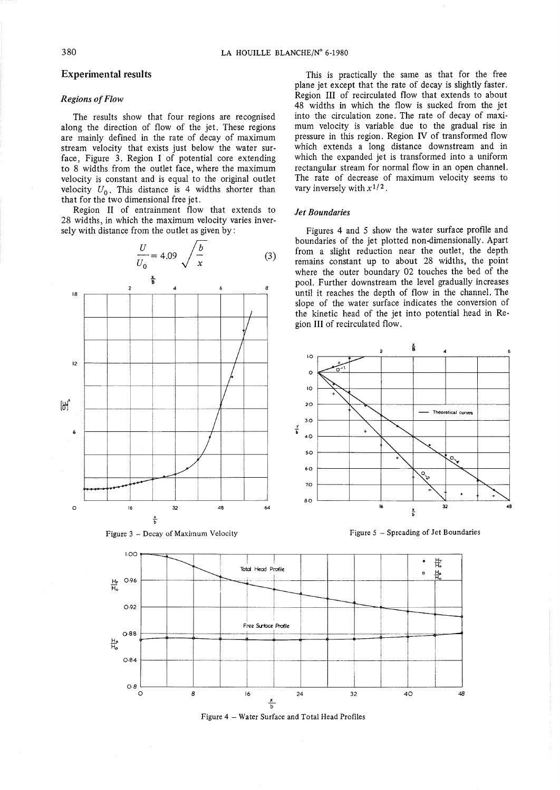# **Experimental results**

#### *Regions* of *Flow*

The results show that four regions are recognised along the direction of flow of the jet. These regions are mainly defined in the rate of decay of maximum stream velocity that exists just below the water surface, Figure 3. Region 1 of potential core extending to 8 widths from the outlet face, where the maximum velocity is constant and is equal to the original outlet velocity  $U_0$ . This distance is 4 widths shorter than that for the two dimensional free jet.

Region II of entrainment flow that extends to 28 widths, in which the maximum velocity varies inversely with distance from the outlet as given by:





Figure 3 - Decay of Maximum Velocity Figure 5 - Sprcading of Jet Boundaries

b

This is practically the same as that for the free plane jet except that the rate of decay is slightly faster. Region III of recirculated flow that extends to about 48 widths in which the flow is sucked from the jet into the circulation zone. The rate of decay of maximum velocity is variable due to the graduaI rise in pressure in this region. Region IV of transformed flow which extends a long distance downstream and in which the expanded jet is transformed into a uniform rectangular stream for normal flow in an open channel. The rate of decrease of maximum velocity seems to vary inversely with  $x^{1/2}$ .

#### *Jet Boundaries*

Figures 4 and 5 show the water surface profile and boundaries of the jet plotted non-dimensionally. Apart from a slight reduction near the outlet, the depth remains constant up to about 28 widths, the point where the outer boundary 02 touches the bed of the pool. Further downstream the level gradually increases until it reaches the depth of flow in the channel. The slope of the water surface indicates the conversion of the kinetic head of the jet into potential head in Region III of recirculated flow.





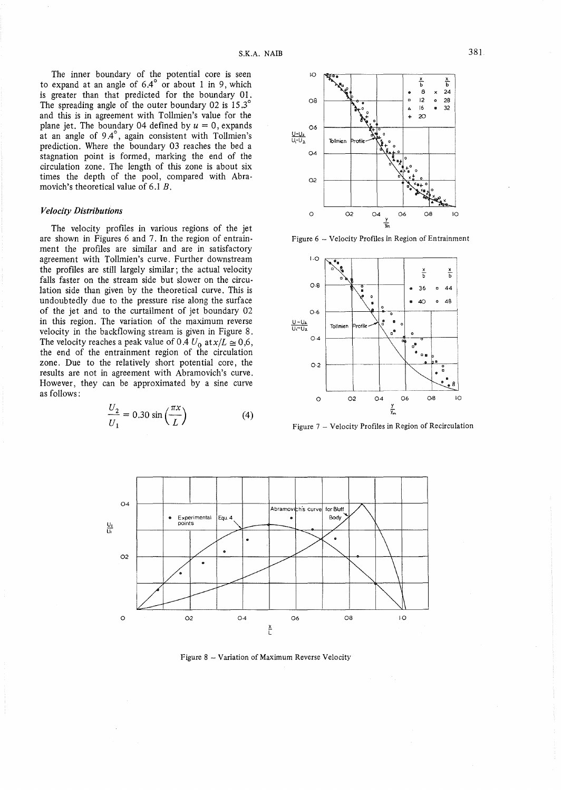The inner boundary of the potential core is seen to expand at an angle of 6*04°* or about 1 in 9, which is greater than that predicted for the boundary 01. The spreading angle of the outer boundary 02 is 15.3° and this is in agreement with Tollmien's value for the plane jet. The boundary 04 defined by  $u = 0$ , expands at an angle of *904°,* again consistent with Tollmien's prediction. Where the boundary 03 reaches the bed a stagnation point is formed, marking the end of the circulation zone. The length of this zone is about six times the depth of the pool, compared with Abramovich's theoretical value of 6.1 B.

# *Velocity Distributions*

The velocity profiles in various regions of the jet are shown in Figures 6 and 7. **In** the region of entrainment the profiles are similar and are in satisfactory agreement with Tollmien's curve. Further downstream the profiles are still largely similar; the actual velocity falls faster on the stream side but slower on the circulation side than given by the theoretical curve. This is undoubtedly due to the pressure rise along the surface of the jet and to the curtailment of jet boundary 02 in this region. The variation of the maximum reverse velocity in the backflowing stream is given in Figure 8. The velocity reaches a peak value of  $0.4 U_0$  at  $x/L \approx 0.6$ , the end of the entrainment region of the circulation zone. Due to the relatively short potential core, the results are not in agreement with Abramovich's curve. However, they can be approximated by a sine curve

$$
\frac{U_2}{U_1} = 0.30 \sin\left(\frac{\pi x}{L}\right) \tag{4}
$$



Figure 6 - Velocity Profiles in Region of Entrainment



Figure 7 - Velocity Profiles in Region of Recirculation



Figure 8 - Variation of Maximum Reverse Veiocity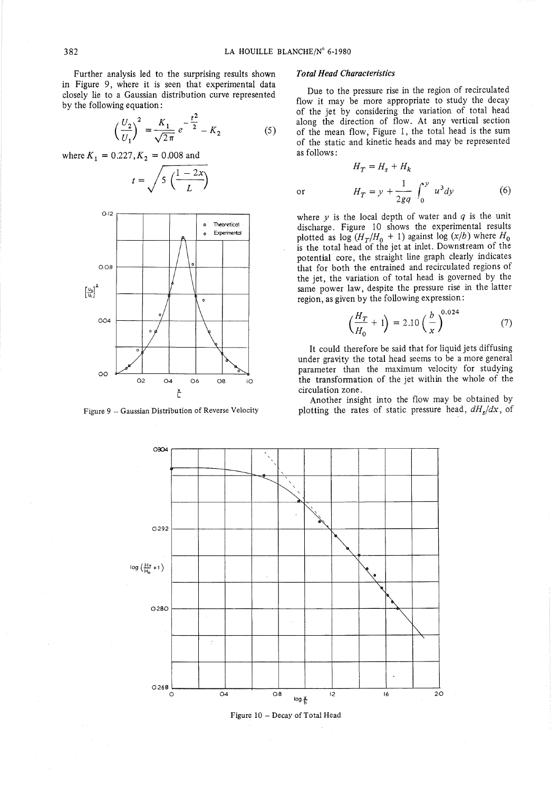or

Further analysis led to the surprising results shown in Figure 9, where it is seen that experimental data closely lie to a Gaussian distribution curve represented by the following equation :

$$
\left(\frac{U_2}{U_1}\right)^2 = \frac{K_1}{\sqrt{2\pi}} e^{-\frac{t^2}{2}} - K_2
$$
 (5)

*where*  $K_1 = 0.227, K_2 = 0.008$  and





Figure 9 - Gaussian Distribution of Reverse Velocity

#### *Total Head Characteristics*

Due to the pressure rise in the region of recirculated flow it may be more appropriate to study the decay of the jet by considering the variation of total head along the direction of flow. At any vertical section of the mean flow, Figure 1, the total head is the sum of the static and kinetic heads and may be represented as follows:

$$
H_T = H_s + H_k
$$
  

$$
H_T = y + \frac{1}{2gq} \int_0^y u^3 dy
$$
 (6)

where  $y$  is the local depth of water and  $q$  is the unit discharge. Figure 10 shows the experimental results plotted as  $\log (H_T/H_0 + 1)$  against  $\log (x/b)$  where  $H_0$  is the total head of the jet at inlet. Downstream of the potential core, the straight line graph clearly indicates that for both the entrained and recirculated regions of the jet, the variation of total head is governed by the same power law, despite the pressure rise in the latter region, as given by the following expression:

$$
\left(\frac{H_T}{H_0} + 1\right) = 2.10 \left(\frac{b}{x}\right)^{0.024} \tag{7}
$$

It could therefore be said that for liquid jets diffusing under gravity the total head seems to be a more general parameter than the maximum velocity for studying the transformation of the jet within the whole of the circulation zone.

Another insight into the flow may be obtained by plotting the rates of static pressure head, *dHs/dx,* of



Figure 10 - Decay of Total Head